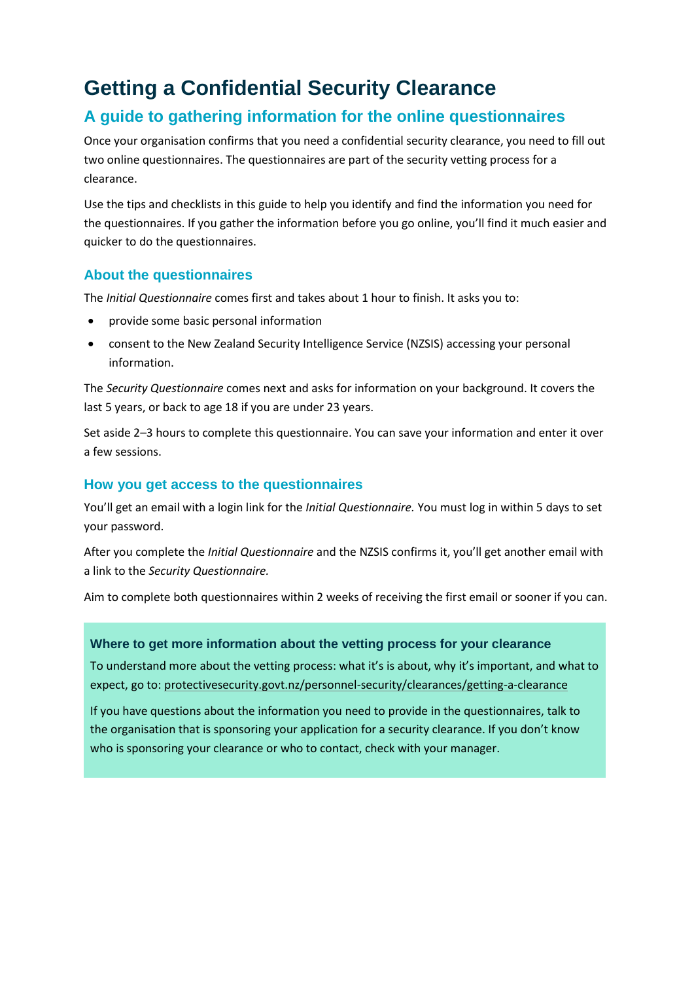### **Getting a Confidential Security Clearance**

### **A guide to gathering information for the online questionnaires**

Once your organisation confirms that you need a confidential security clearance, you need to fill out two online questionnaires. The questionnaires are part of the security vetting process for a clearance.

Use the tips and checklists in this guide to help you identify and find the information you need for the questionnaires. If you gather the information before you go online, you'll find it much easier and quicker to do the questionnaires.

#### **About the questionnaires**

The *Initial Questionnaire* comes first and takes about 1 hour to finish. It asks you to:

- provide some basic personal information
- consent to the New Zealand Security Intelligence Service (NZSIS) accessing your personal information.

The *Security Questionnaire* comes next and asks for information on your background. It covers the last 5 years, or back to age 18 if you are under 23 years.

Set aside 2–3 hours to complete this questionnaire. You can save your information and enter it over a few sessions.

#### **How you get access to the questionnaires**

You'll get an email with a login link for the *Initial Questionnaire.* You must log in within 5 days to set your password.

After you complete the *Initial Questionnaire* and the NZSIS confirms it, you'll get another email with a link to the *Security Questionnaire.*

Aim to complete both questionnaires within 2 weeks of receiving the first email or sooner if you can.

#### **Where to get more information about the vetting process for your clearance**

To understand more about the vetting process: what it's is about, why it's important, and what to expect, go to: [protectivesecurity.govt.nz/personnel-security/clearances/getting-a-clearance](http://www.protectivesecurity.govt.nz/personnel-security/clearances/getting-a-clearance/)

If you have questions about the information you need to provide in the questionnaires, talk to the organisation that is sponsoring your application for a security clearance. If you don't know who is sponsoring your clearance or who to contact, check with your manager.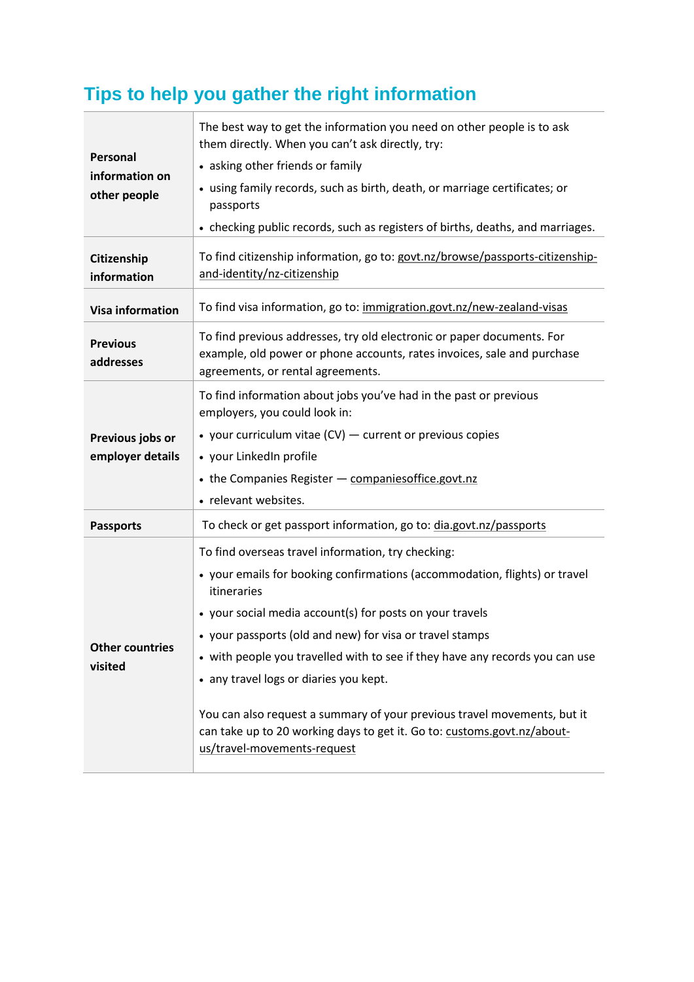# **Tips to help you gather the right information**

| Personal<br>information on<br>other people | The best way to get the information you need on other people is to ask<br>them directly. When you can't ask directly, try:<br>• asking other friends or family<br>• using family records, such as birth, death, or marriage certificates; or<br>passports<br>• checking public records, such as registers of births, deaths, and marriages.                                                                                                                                                                                                                                             |
|--------------------------------------------|-----------------------------------------------------------------------------------------------------------------------------------------------------------------------------------------------------------------------------------------------------------------------------------------------------------------------------------------------------------------------------------------------------------------------------------------------------------------------------------------------------------------------------------------------------------------------------------------|
| Citizenship<br>information                 | To find citizenship information, go to: govt.nz/browse/passports-citizenship-<br>and-identity/nz-citizenship                                                                                                                                                                                                                                                                                                                                                                                                                                                                            |
| <b>Visa information</b>                    | To find visa information, go to: immigration.govt.nz/new-zealand-visas                                                                                                                                                                                                                                                                                                                                                                                                                                                                                                                  |
| <b>Previous</b><br>addresses               | To find previous addresses, try old electronic or paper documents. For<br>example, old power or phone accounts, rates invoices, sale and purchase<br>agreements, or rental agreements.                                                                                                                                                                                                                                                                                                                                                                                                  |
| Previous jobs or<br>employer details       | To find information about jobs you've had in the past or previous<br>employers, you could look in:<br>• your curriculum vitae $(CV)$ — current or previous copies<br>• your LinkedIn profile<br>• the Companies Register - companiesoffice.govt.nz<br>• relevant websites.                                                                                                                                                                                                                                                                                                              |
| <b>Passports</b>                           | To check or get passport information, go to: dia.govt.nz/passports                                                                                                                                                                                                                                                                                                                                                                                                                                                                                                                      |
| <b>Other countries</b><br>visited          | To find overseas travel information, try checking:<br>• your emails for booking confirmations (accommodation, flights) or travel<br>itineraries<br>• your social media account(s) for posts on your travels<br>• your passports (old and new) for visa or travel stamps<br>• with people you travelled with to see if they have any records you can use<br>• any travel logs or diaries you kept.<br>You can also request a summary of your previous travel movements, but it<br>can take up to 20 working days to get it. Go to: customs.govt.nz/about-<br>us/travel-movements-request |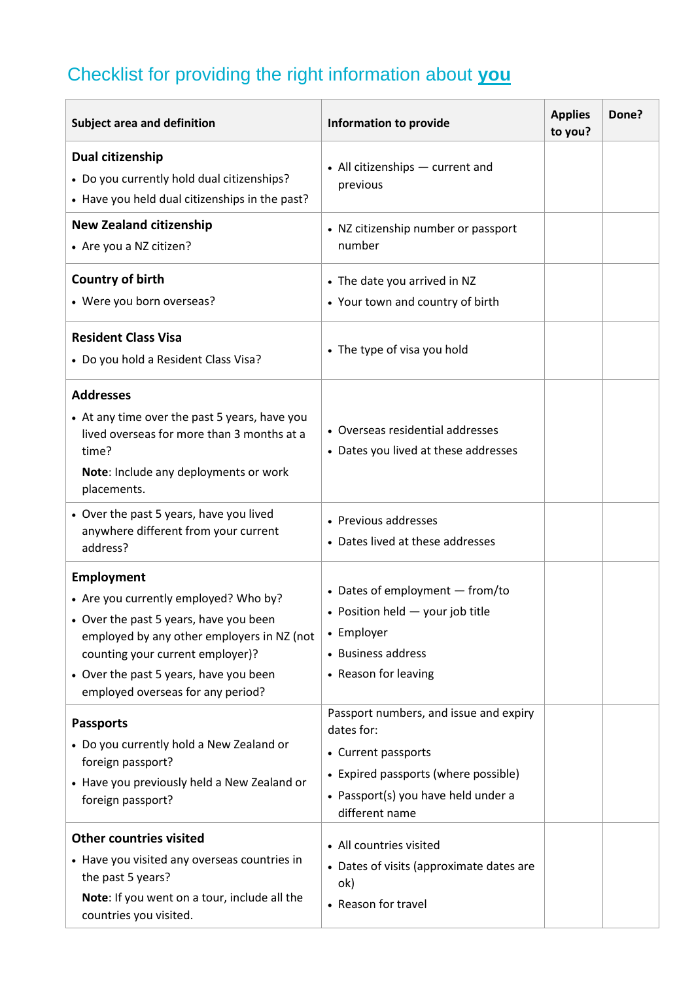## Checklist for providing the right information about **you**

| Subject area and definition                                                                                                                                                                                                                                    | <b>Information to provide</b>                                                                                                                                                | <b>Applies</b><br>to you? | Done? |
|----------------------------------------------------------------------------------------------------------------------------------------------------------------------------------------------------------------------------------------------------------------|------------------------------------------------------------------------------------------------------------------------------------------------------------------------------|---------------------------|-------|
| Dual citizenship<br>• Do you currently hold dual citizenships?<br>• Have you held dual citizenships in the past?                                                                                                                                               | • All citizenships - current and<br>previous                                                                                                                                 |                           |       |
| <b>New Zealand citizenship</b><br>• Are you a NZ citizen?                                                                                                                                                                                                      | • NZ citizenship number or passport<br>number                                                                                                                                |                           |       |
| Country of birth<br>• Were you born overseas?                                                                                                                                                                                                                  | • The date you arrived in NZ<br>• Your town and country of birth                                                                                                             |                           |       |
| <b>Resident Class Visa</b><br>• Do you hold a Resident Class Visa?                                                                                                                                                                                             | • The type of visa you hold                                                                                                                                                  |                           |       |
| <b>Addresses</b><br>• At any time over the past 5 years, have you<br>lived overseas for more than 3 months at a<br>time?<br>Note: Include any deployments or work<br>placements.                                                                               | • Overseas residential addresses<br>• Dates you lived at these addresses                                                                                                     |                           |       |
| • Over the past 5 years, have you lived<br>anywhere different from your current<br>address?                                                                                                                                                                    | • Previous addresses<br>• Dates lived at these addresses                                                                                                                     |                           |       |
| Employment<br>• Are you currently employed? Who by?<br>• Over the past 5 years, have you been<br>employed by any other employers in NZ (not<br>counting your current employer)?<br>• Over the past 5 years, have you been<br>employed overseas for any period? | • Dates of employment - from/to<br>• Position held $-$ your job title<br>• Employer<br>• Business address<br>• Reason for leaving                                            |                           |       |
| <b>Passports</b><br>• Do you currently hold a New Zealand or<br>foreign passport?<br>• Have you previously held a New Zealand or<br>foreign passport?                                                                                                          | Passport numbers, and issue and expiry<br>dates for:<br>• Current passports<br>• Expired passports (where possible)<br>• Passport(s) you have held under a<br>different name |                           |       |
| <b>Other countries visited</b><br>• Have you visited any overseas countries in<br>the past 5 years?<br>Note: If you went on a tour, include all the<br>countries you visited.                                                                                  | • All countries visited<br>• Dates of visits (approximate dates are<br>ok)<br>• Reason for travel                                                                            |                           |       |